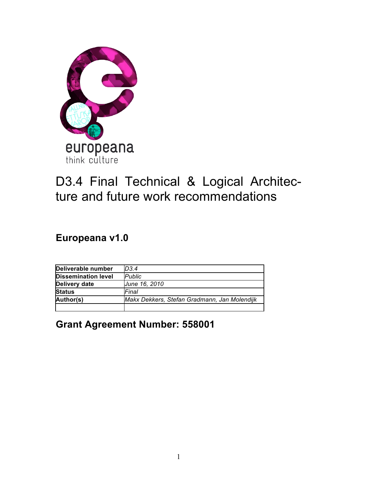

# D3.4 Final Technical & Logical Architecture and future work recommendations

**Europeana v1.0**

| Deliverable number         | D3.4                                         |
|----------------------------|----------------------------------------------|
| <b>Dissemination level</b> | <b>Public</b>                                |
| <b>Delivery date</b>       | June 16, 2010                                |
| <b>Status</b>              | Final                                        |
| Author(s)                  | Makx Dekkers, Stefan Gradmann, Jan Molendijk |
|                            |                                              |

**Grant Agreement Number: 558001**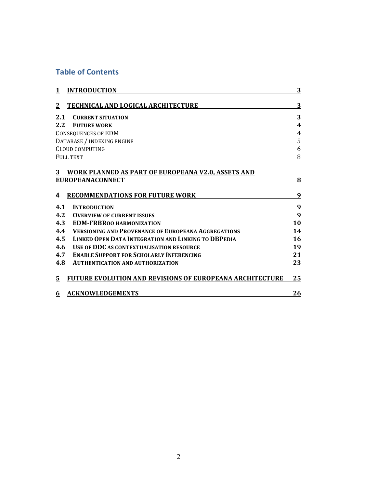## **Table of Contents**

| <b>INTRODUCTION</b><br>1                                             | 3                       |
|----------------------------------------------------------------------|-------------------------|
| 2<br>TECHNICAL AND LOGICAL ARCHITECTURE                              | 3                       |
| 2.1<br><b>CURRENT SITUATION</b>                                      | 3                       |
| 2.2<br><b>FUTURE WORK</b>                                            | $\overline{\mathbf{4}}$ |
| <b>CONSEQUENCES OF EDM</b>                                           | 4                       |
| DATABASE / INDEXING ENGINE                                           | 5                       |
| <b>CLOUD COMPUTING</b>                                               | 6                       |
| FULL TEXT                                                            | 8                       |
| <b>WORK PLANNED AS PART OF EUROPEANA V2.0, ASSETS AND</b><br>3       |                         |
| <b>EUROPEANACONNECT</b>                                              | 8                       |
|                                                                      |                         |
| <b>RECOMMENDATIONS FOR FUTURE WORK</b><br>4                          | 9                       |
| 4.1<br><b>INTRODUCTION</b>                                           | 9                       |
| 4.2<br><b>OVERVIEW OF CURRENT ISSUES</b>                             | 9                       |
| 4.3<br><b>EDM-FRBROO HARMONIZATION</b>                               | 10                      |
| <b>VERSIONING AND PROVENANCE OF EUROPEANA AGGREGATIONS</b><br>4.4    | 14                      |
| 4.5<br><b>LINKED OPEN DATA INTEGRATION AND LINKING TO DBPEDIA</b>    | 16                      |
| 4.6<br><b>USE OF DDC AS CONTEXTUALISATION RESOURCE</b>               | 19                      |
| 4.7<br><b>ENABLE SUPPORT FOR SCHOLARLY INFERENCING</b>               | 21                      |
| 4.8<br><b>AUTHENTICATION AND AUTHORIZATION</b>                       | 23                      |
| <b>FUTURE EVOLUTION AND REVISIONS OF EUROPEANA ARCHITECTURE</b><br>5 | 25                      |
| <b>ACKNOWLEDGEMENTS</b><br>6                                         | 26                      |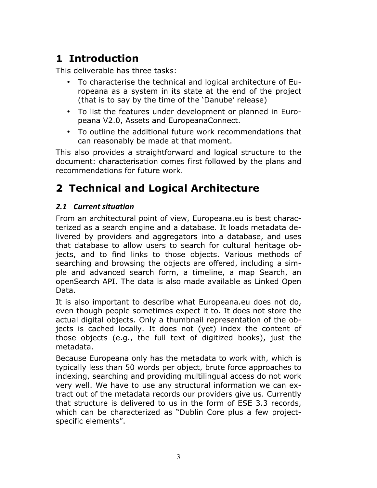## **1 Introduction**

This deliverable has three tasks:

- To characterise the technical and logical architecture of Europeana as a system in its state at the end of the project (that is to say by the time of the 'Danube' release)
- To list the features under development or planned in Europeana V2.0, Assets and EuropeanaConnect.
- To outline the additional future work recommendations that can reasonably be made at that moment.

This also provides a straightforward and logical structure to the document: characterisation comes first followed by the plans and recommendations for future work.

## **2 Technical and Logical Architecture**

## 2.1 *Current situation*

From an architectural point of view, Europeana.eu is best characterized as a search engine and a database. It loads metadata delivered by providers and aggregators into a database, and uses that database to allow users to search for cultural heritage objects, and to find links to those objects. Various methods of searching and browsing the objects are offered, including a simple and advanced search form, a timeline, a map Search, an openSearch API. The data is also made available as Linked Open Data.

It is also important to describe what Europeana.eu does not do, even though people sometimes expect it to. It does not store the actual digital objects. Only a thumbnail representation of the objects is cached locally. It does not (yet) index the content of those objects (e.g., the full text of digitized books), just the metadata.

Because Europeana only has the metadata to work with, which is typically less than 50 words per object, brute force approaches to indexing, searching and providing multilingual access do not work very well. We have to use any structural information we can extract out of the metadata records our providers give us. Currently that structure is delivered to us in the form of ESE 3.3 records, which can be characterized as "Dublin Core plus a few projectspecific elements".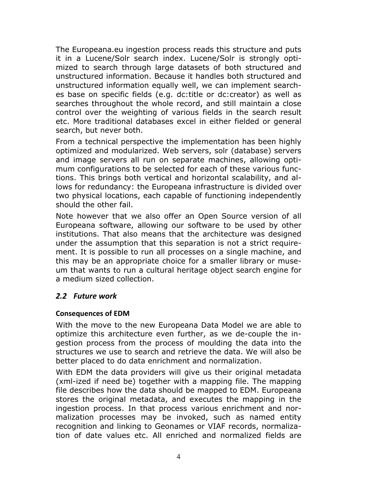The Europeana.eu ingestion process reads this structure and puts it in a Lucene/Solr search index. Lucene/Solr is strongly optimized to search through large datasets of both structured and unstructured information. Because it handles both structured and unstructured information equally well, we can implement searches base on specific fields (e.g. dc:title or dc:creator) as well as searches throughout the whole record, and still maintain a close control over the weighting of various fields in the search result etc. More traditional databases excel in either fielded or general search, but never both.

From a technical perspective the implementation has been highly optimized and modularized. Web servers, solr (database) servers and image servers all run on separate machines, allowing optimum configurations to be selected for each of these various functions. This brings both vertical and horizontal scalability, and allows for redundancy: the Europeana infrastructure is divided over two physical locations, each capable of functioning independently should the other fail.

Note however that we also offer an Open Source version of all Europeana software, allowing our software to be used by other institutions. That also means that the architecture was designed under the assumption that this separation is not a strict requirement. It is possible to run all processes on a single machine, and this may be an appropriate choice for a smaller library or museum that wants to run a cultural heritage object search engine for a medium sized collection.

## *2.2 Future\*work*

#### **Consequences of EDM**

With the move to the new Europeana Data Model we are able to optimize this architecture even further, as we de-couple the ingestion process from the process of moulding the data into the structures we use to search and retrieve the data. We will also be better placed to do data enrichment and normalization.

With EDM the data providers will give us their original metadata (xml-ized if need be) together with a mapping file. The mapping file describes how the data should be mapped to EDM. Europeana stores the original metadata, and executes the mapping in the ingestion process. In that process various enrichment and normalization processes may be invoked, such as named entity recognition and linking to Geonames or VIAF records, normalization of date values etc. All enriched and normalized fields are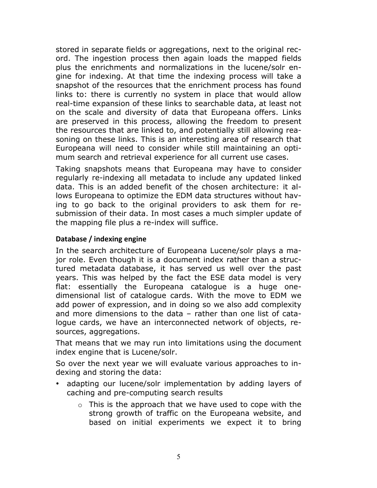stored in separate fields or aggregations, next to the original record. The ingestion process then again loads the mapped fields plus the enrichments and normalizations in the lucene/solr engine for indexing. At that time the indexing process will take a snapshot of the resources that the enrichment process has found links to: there is currently no system in place that would allow real-time expansion of these links to searchable data, at least not on the scale and diversity of data that Europeana offers. Links are preserved in this process, allowing the freedom to present the resources that are linked to, and potentially still allowing reasoning on these links. This is an interesting area of research that Europeana will need to consider while still maintaining an optimum search and retrieval experience for all current use cases.

Taking snapshots means that Europeana may have to consider regularly re-indexing all metadata to include any updated linked data. This is an added benefit of the chosen architecture: it allows Europeana to optimize the EDM data structures without having to go back to the original providers to ask them for resubmission of their data. In most cases a much simpler update of the mapping file plus a re-index will suffice.

#### **Database / indexing engine**

In the search architecture of Europeana Lucene/solr plays a major role. Even though it is a document index rather than a structured metadata database, it has served us well over the past years. This was helped by the fact the ESE data model is very flat: essentially the Europeana catalogue is a huge onedimensional list of catalogue cards. With the move to EDM we add power of expression, and in doing so we also add complexity and more dimensions to the data – rather than one list of catalogue cards, we have an interconnected network of objects, resources, aggregations.

That means that we may run into limitations using the document index engine that is Lucene/solr.

So over the next year we will evaluate various approaches to indexing and storing the data:

- adapting our lucene/solr implementation by adding layers of caching and pre-computing search results
	- $\circ$  This is the approach that we have used to cope with the strong growth of traffic on the Europeana website, and based on initial experiments we expect it to bring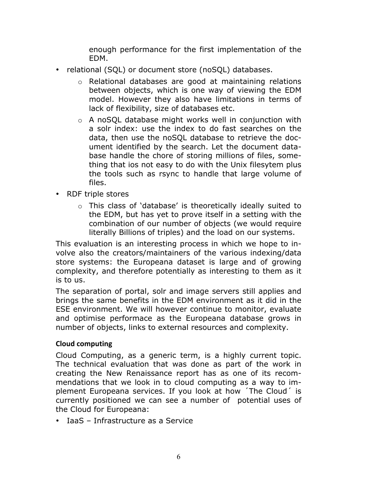enough performance for the first implementation of the EDM.

- relational (SQL) or document store (noSQL) databases.
	- o Relational databases are good at maintaining relations between objects, which is one way of viewing the EDM model. However they also have limitations in terms of lack of flexibility, size of databases etc.
	- o A noSQL database might works well in conjunction with a solr index: use the index to do fast searches on the data, then use the noSQL database to retrieve the document identified by the search. Let the document database handle the chore of storing millions of files, something that ios not easy to do with the Unix filesytem plus the tools such as rsync to handle that large volume of files.
- RDF triple stores
	- o This class of 'database' is theoretically ideally suited to the EDM, but has yet to prove itself in a setting with the combination of our number of objects (we would require literally Billions of triples) and the load on our systems.

This evaluation is an interesting process in which we hope to involve also the creators/maintainers of the various indexing/data store systems: the Europeana dataset is large and of growing complexity, and therefore potentially as interesting to them as it is to us.

The separation of portal, solr and image servers still applies and brings the same benefits in the EDM environment as it did in the ESE environment. We will however continue to monitor, evaluate and optimise performace as the Europeana database grows in number of objects, links to external resources and complexity.

#### **Cloud computing**

Cloud Computing, as a generic term, is a highly current topic. The technical evaluation that was done as part of the work in creating the New Renaissance report has as one of its recommendations that we look in to cloud computing as a way to implement Europeana services. If you look at how ´The Cloud´ is currently positioned we can see a number of potential uses of the Cloud for Europeana:

• IaaS – Infrastructure as a Service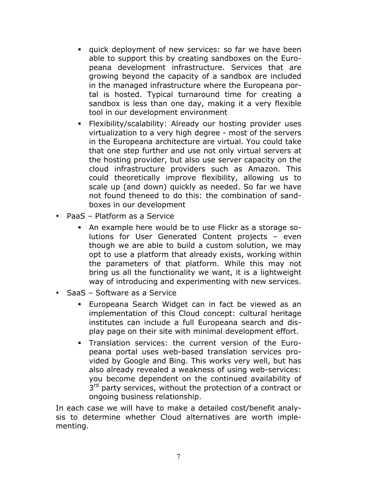- ! quick deployment of new services: so far we have been able to support this by creating sandboxes on the Europeana development infrastructure. Services that are growing beyond the capacity of a sandbox are included in the managed infrastructure where the Europeana portal is hosted. Typical turnaround time for creating a sandbox is less than one day, making it a very flexible tool in our development environment
- ! Flexibility/scalability: Already our hosting provider uses virtualization to a very high degree - most of the servers in the Europeana architecture are virtual. You could take that one step further and use not only virtual servers at the hosting provider, but also use server capacity on the cloud infrastructure providers such as Amazon. This could theoretically improve flexibility, allowing us to scale up (and down) quickly as needed. So far we have not found theneed to do this: the combination of sandboxes in our development
- PaaS Platform as a Service
	- ! An example here would be to use Flickr as a storage solutions for User Generated Content projects – even though we are able to build a custom solution, we may opt to use a platform that already exists, working within the parameters of that platform. While this may not bring us all the functionality we want, it is a lightweight way of introducing and experimenting with new services.
- SaaS Software as a Service
	- Europeana Search Widget can in fact be viewed as an implementation of this Cloud concept: cultural heritage institutes can include a full Europeana search and display page on their site with minimal development effort.
	- ! Translation services: the current version of the Europeana portal uses web-based translation services provided by Google and Bing. This works very well, but has also already revealed a weakness of using web-services: you become dependent on the continued availability of 3<sup>rd</sup> party services, without the protection of a contract or ongoing business relationship.

In each case we will have to make a detailed cost/benefit analysis to determine whether Cloud alternatives are worth implementing.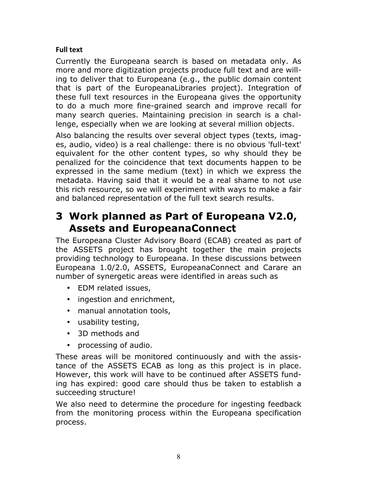### **Full text**

Currently the Europeana search is based on metadata only. As more and more digitization projects produce full text and are willing to deliver that to Europeana (e.g., the public domain content that is part of the EuropeanaLibraries project). Integration of these full text resources in the Europeana gives the opportunity to do a much more fine-grained search and improve recall for many search queries. Maintaining precision in search is a challenge, especially when we are looking at several million objects.

Also balancing the results over several object types (texts, images, audio, video) is a real challenge: there is no obvious 'full-text' equivalent for the other content types, so why should they be penalized for the coincidence that text documents happen to be expressed in the same medium (text) in which we express the metadata. Having said that it would be a real shame to not use this rich resource, so we will experiment with ways to make a fair and balanced representation of the full text search results.

## **3 Work planned as Part of Europeana V2.0, Assets and EuropeanaConnect**

The Europeana Cluster Advisory Board (ECAB) created as part of the ASSETS project has brought together the main projects providing technology to Europeana. In these discussions between Europeana 1.0/2.0, ASSETS, EuropeanaConnect and Carare an number of synergetic areas were identified in areas such as

- EDM related issues,
- ingestion and enrichment,
- manual annotation tools,
- usability testing,
- 3D methods and
- processing of audio.

These areas will be monitored continuously and with the assistance of the ASSETS ECAB as long as this project is in place. However, this work will have to be continued after ASSETS funding has expired: good care should thus be taken to establish a succeeding structure!

We also need to determine the procedure for ingesting feedback from the monitoring process within the Europeana specification process.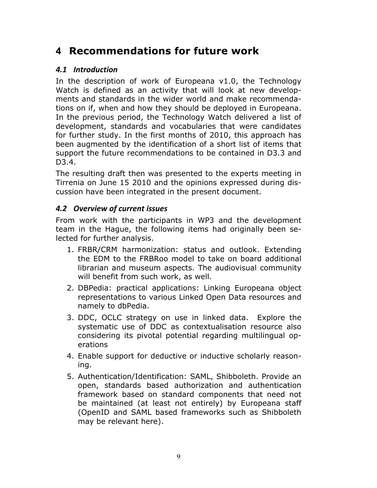## **4 Recommendations for future work**

## *4.1 Introduction*

In the description of work of Europeana v1.0, the Technology Watch is defined as an activity that will look at new developments and standards in the wider world and make recommendations on if, when and how they should be deployed in Europeana. In the previous period, the Technology Watch delivered a list of development, standards and vocabularies that were candidates for further study. In the first months of 2010, this approach has been augmented by the identification of a short list of items that support the future recommendations to be contained in D3.3 and D3.4.

The resulting draft then was presented to the experts meeting in Tirrenia on June 15 2010 and the opinions expressed during discussion have been integrated in the present document.

## *4.2 Overview\*of\*current\*issues*

From work with the participants in WP3 and the development team in the Hague, the following items had originally been selected for further analysis.

- 1. FRBR/CRM harmonization: status and outlook. Extending the EDM to the FRBRoo model to take on board additional librarian and museum aspects. The audiovisual community will benefit from such work, as well.
- 2. DBPedia: practical applications: Linking Europeana object representations to various Linked Open Data resources and namely to dbPedia.
- 3. DDC, OCLC strategy on use in linked data. Explore the systematic use of DDC as contextualisation resource also considering its pivotal potential regarding multilingual operations
- 4. Enable support for deductive or inductive scholarly reasoning.
- 5. Authentication/Identification: SAML, Shibboleth. Provide an open, standards based authorization and authentication framework based on standard components that need not be maintained (at least not entirely) by Europeana staff (OpenID and SAML based frameworks such as Shibboleth may be relevant here).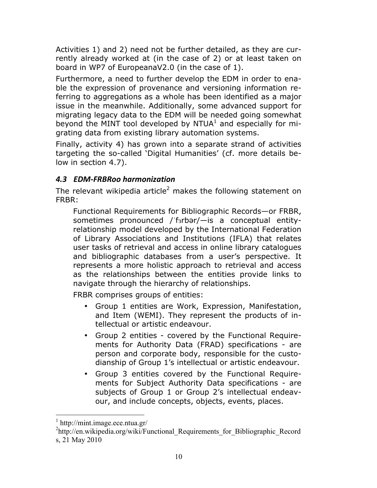Activities 1) and 2) need not be further detailed, as they are currently already worked at (in the case of 2) or at least taken on board in WP7 of EuropeanaV2.0 (in the case of 1).

Furthermore, a need to further develop the EDM in order to enable the expression of provenance and versioning information referring to aggregations as a whole has been identified as a major issue in the meanwhile. Additionally, some advanced support for migrating legacy data to the EDM will be needed going somewhat beyond the MINT tool developed by  $NTUA<sup>1</sup>$  and especially for migrating data from existing library automation systems.

Finally, activity 4) has grown into a separate strand of activities targeting the so-called 'Digital Humanities' (cf. more details below in section 4.7).

## *4.3 EDM=FRBRoo\*harmonization*

The relevant wikipedia article<sup>2</sup> makes the following statement on FRBR:

Functional Requirements for Bibliographic Records—or FRBR, sometimes pronounced / farbar/- is a conceptual entityrelationship model developed by the International Federation of Library Associations and Institutions (IFLA) that relates user tasks of retrieval and access in online library catalogues and bibliographic databases from a user's perspective. It represents a more holistic approach to retrieval and access as the relationships between the entities provide links to navigate through the hierarchy of relationships.

FRBR comprises groups of entities:

- Group 1 entities are Work, Expression, Manifestation, and Item (WEMI). They represent the products of intellectual or artistic endeavour.
- Group 2 entities covered by the Functional Requirements for Authority Data (FRAD) specifications - are person and corporate body, responsible for the custodianship of Group 1's intellectual or artistic endeavour.
- Group 3 entities covered by the Functional Requirements for Subject Authority Data specifications - are subjects of Group 1 or Group 2's intellectual endeavour, and include concepts, objects, events, places.

http://mint.image.ece.ntua.gr/

<sup>&</sup>lt;sup>2</sup>http://en.wikipedia.org/wiki/Functional\_Requirements\_for\_Bibliographic\_Record s, 21 May 2010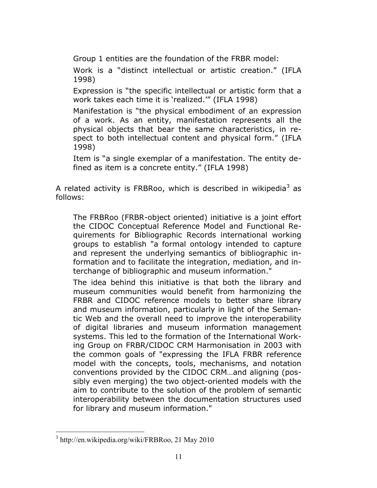Group 1 entities are the foundation of the FRBR model:

Work is a "distinct intellectual or artistic creation." (IFLA 1998)

Expression is "the specific intellectual or artistic form that a work takes each time it is 'realized.'" (IFLA 1998)

Manifestation is "the physical embodiment of an expression of a work. As an entity, manifestation represents all the physical objects that bear the same characteristics, in respect to both intellectual content and physical form." (IFLA 1998)

Item is "a single exemplar of a manifestation. The entity defined as item is a concrete entity." (IFLA 1998)

A related activity is FRBRoo, which is described in wikipedia<sup>3</sup> as follows:

The FRBRoo (FRBR-object oriented) initiative is a joint effort the CIDOC Conceptual Reference Model and Functional Requirements for Bibliographic Records international working groups to establish "a formal ontology intended to capture and represent the underlying semantics of bibliographic information and to facilitate the integration, mediation, and interchange of bibliographic and museum information."

The idea behind this initiative is that both the library and museum communities would benefit from harmonizing the FRBR and CIDOC reference models to better share library and museum information, particularly in light of the Semantic Web and the overall need to improve the interoperability of digital libraries and museum information management systems. This led to the formation of the International Working Group on FRBR/CIDOC CRM Harmonisation in 2003 with the common goals of "expressing the IFLA FRBR reference model with the concepts, tools, mechanisms, and notation conventions provided by the CIDOC CRM…and aligning (possibly even merging) the two object-oriented models with the aim to contribute to the solution of the problem of semantic interoperability between the documentation structures used for library and museum information."

 <sup>3</sup> http://en.wikipedia.org/wiki/FRBRoo, 21 May 2010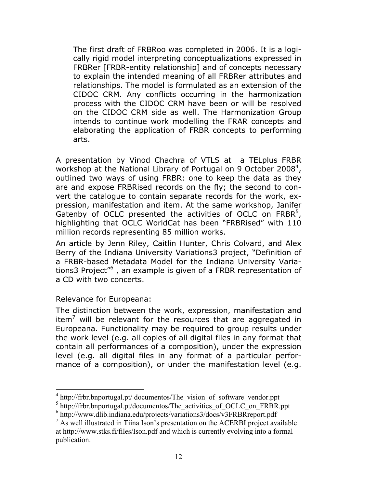The first draft of FRBRoo was completed in 2006. It is a logically rigid model interpreting conceptualizations expressed in FRBRer [FRBR-entity relationship] and of concepts necessary to explain the intended meaning of all FRBRer attributes and relationships. The model is formulated as an extension of the CIDOC CRM. Any conflicts occurring in the harmonization process with the CIDOC CRM have been or will be resolved on the CIDOC CRM side as well. The Harmonization Group intends to continue work modelling the FRAR concepts and elaborating the application of FRBR concepts to performing arts.

A presentation by Vinod Chachra of VTLS at a TELplus FRBR workshop at the National Library of Portugal on 9 October 2008<sup>4</sup>, outlined two ways of using FRBR: one to keep the data as they are and expose FRBRised records on the fly; the second to convert the catalogue to contain separate records for the work, expression, manifestation and item. At the same workshop, Janifer Gatenby of OCLC presented the activities of OCLC on  $FRBR<sup>5</sup>$ , highlighting that OCLC WorldCat has been "FRBRised" with 110 million records representing 85 million works.

An article by Jenn Riley, Caitlin Hunter, Chris Colvard, and Alex Berry of the Indiana University Variations3 project, "Definition of a FRBR-based Metadata Model for the Indiana University Variations3 Project<sup>"6</sup>, an example is given of a FRBR representation of a CD with two concerts.

#### Relevance for Europeana:

The distinction between the work, expression, manifestation and item<sup>7</sup> will be relevant for the resources that are aggregated in Europeana. Functionality may be required to group results under the work level (e.g. all copies of all digital files in any format that contain all performances of a composition), under the expression level (e.g. all digital files in any format of a particular performance of a composition), or under the manifestation level (e.g.

<sup>&</sup>lt;sup>4</sup> http://frbr.bnportugal.pt/ documentos/The\_vision\_of\_software\_vendor.ppt

<sup>&</sup>lt;sup>5</sup> http://frbr.bnportugal.pt/documentos/The\_activities\_of\_OCLC\_on\_FRBR.ppt

 $6$  http://www.dlib.indiana.edu/projects/variations3/docs/v3FRBRreport.pdf

 $<sup>7</sup>$  As well illustrated in Tiina Ison's presentation on the ACERBI project available</sup> at http://www.stks.fi/files/Ison.pdf and which is currently evolving into a formal publication.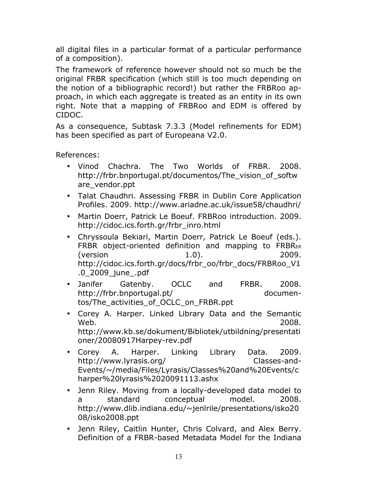all digital files in a particular format of a particular performance of a composition).

The framework of reference however should not so much be the original FRBR specification (which still is too much depending on the notion of a bibliographic record!) but rather the FRBRoo approach, in which each aggregate is treated as an entity in its own right. Note that a mapping of FRBRoo and EDM is offered by CIDOC.

As a consequence, Subtask 7.3.3 (Model refinements for EDM) has been specified as part of Europeana V2.0.

References:

- Vinod Chachra. The Two Worlds of FRBR. 2008. http://frbr.bnportugal.pt/documentos/The vision of softw are\_vendor.ppt
- Talat Chaudhri. Assessing FRBR in Dublin Core Application Profiles. 2009. http://www.ariadne.ac.uk/issue58/chaudhri/
- Martin Doerr, Patrick Le Boeuf. FRBRoo introduction. 2009. http://cidoc.ics.forth.gr/frbr\_inro.html
- Chryssoula Bekiari, Martin Doerr, Patrick Le Boeuf (eds.). FRBR object-oriented definition and mapping to FRBRER (version 1.0). 2009. http://cidoc.ics.forth.gr/docs/frbr\_oo/frbr\_docs/FRBRoo\_V1 .0\_2009\_june\_.pdf
- Janifer Gatenby. OCLC and FRBR. 2008. http://frbr.bnportugal.pt/ documentos/The\_activities\_of\_OCLC\_on\_FRBR.ppt
- Corey A. Harper. Linked Library Data and the Semantic Web. 2008. http://www.kb.se/dokument/Bibliotek/utbildning/presentati oner/20080917Harpey-rev.pdf
- Corey A. Harper. Linking Library Data. 2009. http://www.lyrasis.org/ Classes-and-Events/~/media/Files/Lyrasis/Classes%20and%20Events/c harper%20lyrasis%2020091113.ashx
- Jenn Riley. Moving from a locally-developed data model to a standard conceptual model. 2008. http://www.dlib.indiana.edu/~jenlrile/presentations/isko20 08/isko2008.ppt
- Jenn Riley, Caitlin Hunter, Chris Colvard, and Alex Berry. Definition of a FRBR-based Metadata Model for the Indiana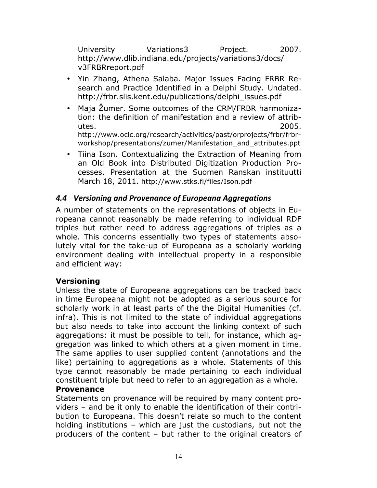University Variations 7 Project. 2007. http://www.dlib.indiana.edu/projects/variations3/docs/ v3FRBRreport.pdf

- Yin Zhang, Athena Salaba. Major Issues Facing FRBR Research and Practice Identified in a Delphi Study. Undated. http://frbr.slis.kent.edu/publications/delphi\_issues.pdf
- Maja Žumer. Some outcomes of the CRM/FRBR harmonization: the definition of manifestation and a review of attributes. 2005. http://www.oclc.org/research/activities/past/orprojects/frbr/frbr-

workshop/presentations/zumer/Manifestation\_and\_attributes.ppt

• Tiina Ison. Contextualizing the Extraction of Meaning from an Old Book into Distributed Digitization Production Processes. Presentation at the Suomen Ranskan instituutti March 18, 2011. http://www.stks.fi/files/Ison.pdf

#### *4.4 Versioning\*and\*Provenance\*of\*Europeana\*Aggregations*

A number of statements on the representations of objects in Europeana cannot reasonably be made referring to individual RDF triples but rather need to address aggregations of triples as a whole. This concerns essentially two types of statements absolutely vital for the take-up of Europeana as a scholarly working environment dealing with intellectual property in a responsible and efficient way:

#### **Versioning**

Unless the state of Europeana aggregations can be tracked back in time Europeana might not be adopted as a serious source for scholarly work in at least parts of the the Digital Humanities (cf. infra). This is not limited to the state of individual aggregations but also needs to take into account the linking context of such aggregations: it must be possible to tell, for instance, which aggregation was linked to which others at a given moment in time. The same applies to user supplied content (annotations and the like) pertaining to aggregations as a whole. Statements of this type cannot reasonably be made pertaining to each individual constituent triple but need to refer to an aggregation as a whole.

#### **Provenance**

Statements on provenance will be required by many content providers – and be it only to enable the identification of their contribution to Europeana. This doesn't relate so much to the content holding institutions – which are just the custodians, but not the producers of the content – but rather to the original creators of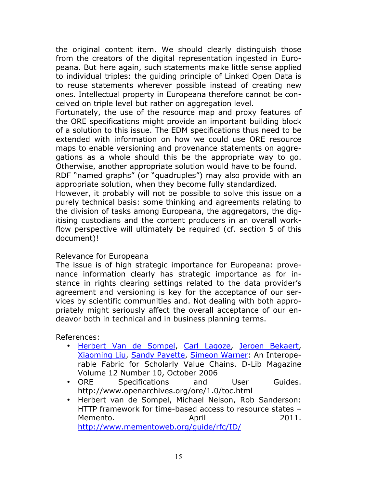the original content item. We should clearly distinguish those from the creators of the digital representation ingested in Europeana. But here again, such statements make little sense applied to individual triples: the guiding principle of Linked Open Data is to reuse statements wherever possible instead of creating new ones. Intellectual property in Europeana therefore cannot be conceived on triple level but rather on aggregation level.

Fortunately, the use of the resource map and proxy features of the ORE specifications might provide an important building block of a solution to this issue. The EDM specifications thus need to be extended with information on how we could use ORE resource maps to enable versioning and provenance statements on aggregations as a whole should this be the appropriate way to go. Otherwise, another appropriate solution would have to be found.

RDF "named graphs" (or "quadruples") may also provide with an appropriate solution, when they become fully standardized.

However, it probably will not be possible to solve this issue on a purely technical basis: some thinking and agreements relating to the division of tasks among Europeana, the aggregators, the digitising custodians and the content producers in an overall workflow perspective will ultimately be required (cf. section 5 of this document)!

#### Relevance for Europeana

The issue is of high strategic importance for Europeana: provenance information clearly has strategic importance as for instance in rights clearing settings related to the data provider's agreement and versioning is key for the acceptance of our services by scientific communities and. Not dealing with both appropriately might seriously affect the overall acceptance of our endeavor both in technical and in business planning terms.

References:

- Herbert Van de Sompel, Carl Lagoze, Jeroen Bekaert, Xiaoming Liu, Sandy Payette, Simeon Warner: An Interoperable Fabric for Scholarly Value Chains. D-Lib Magazine Volume 12 Number 10, October 2006
- ORE Specifications and User Guides. http://www.openarchives.org/ore/1.0/toc.html
- Herbert van de Sompel, Michael Nelson, Rob Sanderson: HTTP framework for time-based access to resource states – Memento. April 2011. http://www.mementoweb.org/guide/rfc/ID/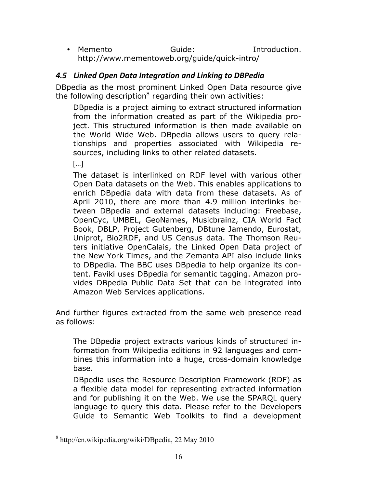• Memento Guide: Introduction. http://www.mementoweb.org/guide/quick-intro/

## *4.5 Linked\*Open\*Data\*Integration\*and\*Linking\*to\*DBPedia*

DBpedia as the most prominent Linked Open Data resource give the following description<sup>8</sup> regarding their own activities:

DBpedia is a project aiming to extract structured information from the information created as part of the Wikipedia project. This structured information is then made available on the World Wide Web. DBpedia allows users to query relationships and properties associated with Wikipedia resources, including links to other related datasets.

[...]

The dataset is interlinked on RDF level with various other Open Data datasets on the Web. This enables applications to enrich DBpedia data with data from these datasets. As of April 2010, there are more than 4.9 million interlinks between DBpedia and external datasets including: Freebase, OpenCyc, UMBEL, GeoNames, Musicbrainz, CIA World Fact Book, DBLP, Project Gutenberg, DBtune Jamendo, Eurostat, Uniprot, Bio2RDF, and US Census data. The Thomson Reuters initiative OpenCalais, the Linked Open Data project of the New York Times, and the Zemanta API also include links to DBpedia. The BBC uses DBpedia to help organize its content. Faviki uses DBpedia for semantic tagging. Amazon provides DBpedia Public Data Set that can be integrated into Amazon Web Services applications.

And further figures extracted from the same web presence read as follows:

The DBpedia project extracts various kinds of structured information from Wikipedia editions in 92 languages and combines this information into a huge, cross-domain knowledge base.

DBpedia uses the Resource Description Framework (RDF) as a flexible data model for representing extracted information and for publishing it on the Web. We use the SPARQL query language to query this data. Please refer to the Developers Guide to Semantic Web Toolkits to find a development

 <sup>8</sup> http://en.wikipedia.org/wiki/DBpedia, 22 May 2010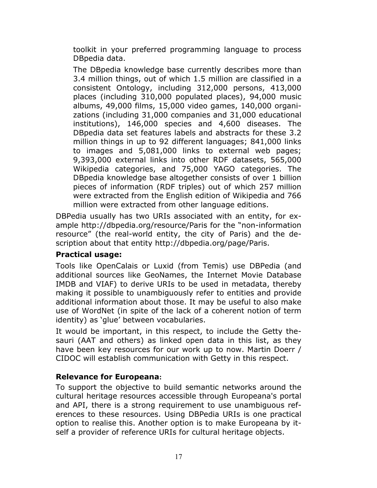toolkit in your preferred programming language to process DBpedia data.

The DBpedia knowledge base currently describes more than 3.4 million things, out of which 1.5 million are classified in a consistent Ontology, including 312,000 persons, 413,000 places (including 310,000 populated places), 94,000 music albums, 49,000 films, 15,000 video games, 140,000 organizations (including 31,000 companies and 31,000 educational institutions), 146,000 species and 4,600 diseases. The DBpedia data set features labels and abstracts for these 3.2 million things in up to 92 different languages; 841,000 links to images and 5,081,000 links to external web pages; 9,393,000 external links into other RDF datasets, 565,000 Wikipedia categories, and 75,000 YAGO categories. The DBpedia knowledge base altogether consists of over 1 billion pieces of information (RDF triples) out of which 257 million were extracted from the English edition of Wikipedia and 766 million were extracted from other language editions.

DBPedia usually has two URIs associated with an entity, for example http://dbpedia.org/resource/Paris for the "non-information resource" (the real-world entity, the city of Paris) and the description about that entity http://dbpedia.org/page/Paris.

## **Practical usage:**

Tools like OpenCalais or Luxid (from Temis) use DBPedia (and additional sources like GeoNames, the Internet Movie Database IMDB and VIAF) to derive URIs to be used in metadata, thereby making it possible to unambiguously refer to entities and provide additional information about those. It may be useful to also make use of WordNet (in spite of the lack of a coherent notion of term identity) as 'glue' between vocabularies.

It would be important, in this respect, to include the Getty thesauri (AAT and others) as linked open data in this list, as they have been key resources for our work up to now. Martin Doerr / CIDOC will establish communication with Getty in this respect.

## **Relevance for Europeana:**

To support the objective to build semantic networks around the cultural heritage resources accessible through Europeana's portal and API, there is a strong requirement to use unambiguous references to these resources. Using DBPedia URIs is one practical option to realise this. Another option is to make Europeana by itself a provider of reference URIs for cultural heritage objects.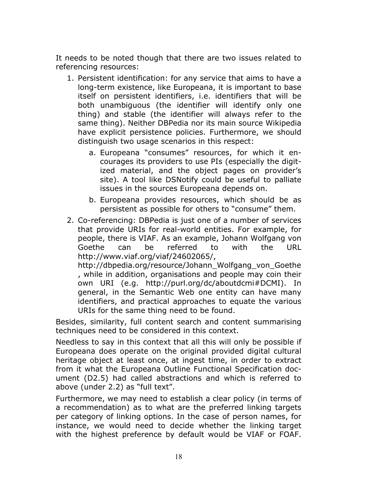It needs to be noted though that there are two issues related to referencing resources:

- 1. Persistent identification: for any service that aims to have a long-term existence, like Europeana, it is important to base itself on persistent identifiers, i.e. identifiers that will be both unambiguous (the identifier will identify only one thing) and stable (the identifier will always refer to the same thing). Neither DBPedia nor its main source Wikipedia have explicit persistence policies. Furthermore, we should distinguish two usage scenarios in this respect:
	- a. Europeana "consumes" resources, for which it encourages its providers to use PIs (especially the digitized material, and the object pages on provider's site). A tool like DSNotify could be useful to palliate issues in the sources Europeana depends on.
	- b. Europeana provides resources, which should be as persistent as possible for others to "consume" them.
- 2. Co-referencing: DBPedia is just one of a number of services that provide URIs for real-world entities. For example, for people, there is VIAF. As an example, Johann Wolfgang von Goethe can be referred to with the URL http://www.viaf.org/viaf/24602065/,

http://dbpedia.org/resource/Johann\_Wolfgang\_von\_Goethe , while in addition, organisations and people may coin their own URI (e.g. http://purl.org/dc/aboutdcmi#DCMI). In general, in the Semantic Web one entity can have many identifiers, and practical approaches to equate the various URIs for the same thing need to be found.

Besides, similarity, full content search and content summarising techniques need to be considered in this context.

Needless to say in this context that all this will only be possible if Europeana does operate on the original provided digital cultural heritage object at least once, at ingest time, in order to extract from it what the Europeana Outline Functional Specification document (D2.5) had called abstractions and which is referred to above (under 2.2) as "full text".

Furthermore, we may need to establish a clear policy (in terms of a recommendation) as to what are the preferred linking targets per category of linking options. In the case of person names, for instance, we would need to decide whether the linking target with the highest preference by default would be VIAF or FOAF.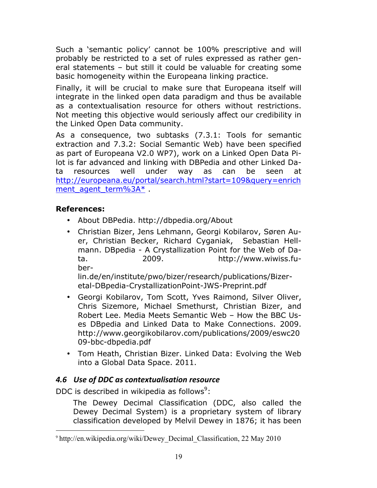Such a 'semantic policy' cannot be 100% prescriptive and will probably be restricted to a set of rules expressed as rather general statements – but still it could be valuable for creating some basic homogeneity within the Europeana linking practice.

Finally, it will be crucial to make sure that Europeana itself will integrate in the linked open data paradigm and thus be available as a contextualisation resource for others without restrictions. Not meeting this objective would seriously affect our credibility in the Linked Open Data community.

As a consequence, two subtasks (7.3.1: Tools for semantic extraction and 7.3.2: Social Semantic Web) have been specified as part of Europeana V2.0 WP7), work on a Linked Open Data Pilot is far advanced and linking with DBPedia and other Linked Data resources well under way as can be seen at http://europeana.eu/portal/search.html?start=109&query=enrich ment\_agent\_term%3A\* .

## **References:**

- About DBPedia. http://dbpedia.org/About
- Christian Bizer, Jens Lehmann, Georgi Kobilarov, Søren Auer, Christian Becker, Richard Cyganiak, Sebastian Hellmann. DBpedia - A Crystallization Point for the Web of Data. 2009. http://www.wiwiss.fuber-

lin.de/en/institute/pwo/bizer/research/publications/Bizeretal-DBpedia-CrystallizationPoint-JWS-Preprint.pdf

- Georgi Kobilarov, Tom Scott, Yves Raimond, Silver Oliver, Chris Sizemore, Michael Smethurst, Christian Bizer, and Robert Lee. Media Meets Semantic Web – How the BBC Uses DBpedia and Linked Data to Make Connections. 2009. http://www.georgikobilarov.com/publications/2009/eswc20 09-bbc-dbpedia.pdf
- Tom Heath, Christian Bizer. Linked Data: Evolving the Web into a Global Data Space. 2011.

## **4.6 Use of DDC as contextualisation resource**

DDC is described in wikipedia as follows<sup>9</sup>:

The Dewey Decimal Classification (DDC, also called the Dewey Decimal System) is a proprietary system of library classification developed by Melvil Dewey in 1876; it has been

 <sup>9</sup> http://en.wikipedia.org/wiki/Dewey\_Decimal\_Classification, 22 May 2010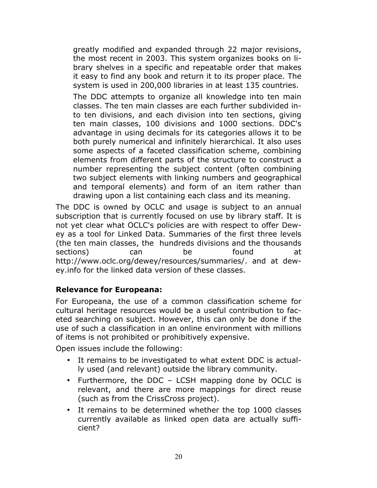greatly modified and expanded through 22 major revisions, the most recent in 2003. This system organizes books on library shelves in a specific and repeatable order that makes it easy to find any book and return it to its proper place. The system is used in 200,000 libraries in at least 135 countries.

The DDC attempts to organize all knowledge into ten main classes. The ten main classes are each further subdivided into ten divisions, and each division into ten sections, giving ten main classes, 100 divisions and 1000 sections. DDC's advantage in using decimals for its categories allows it to be both purely numerical and infinitely hierarchical. It also uses some aspects of a faceted classification scheme, combining elements from different parts of the structure to construct a number representing the subject content (often combining two subject elements with linking numbers and geographical and temporal elements) and form of an item rather than drawing upon a list containing each class and its meaning.

The DDC is owned by OCLC and usage is subject to an annual subscription that is currently focused on use by library staff. It is not yet clear what OCLC's policies are with respect to offer Dewey as a tool for Linked Data. Summaries of the first three levels (the ten main classes, the hundreds divisions and the thousands sections) can be found at http://www.oclc.org/dewey/resources/summaries/. and at dewey.info for the linked data version of these classes.

## **Relevance for Europeana:**

For Europeana, the use of a common classification scheme for cultural heritage resources would be a useful contribution to faceted searching on subject. However, this can only be done if the use of such a classification in an online environment with millions of items is not prohibited or prohibitively expensive.

Open issues include the following:

- It remains to be investigated to what extent DDC is actually used (and relevant) outside the library community.
- Furthermore, the DDC LCSH mapping done by OCLC is relevant, and there are more mappings for direct reuse (such as from the CrissCross project).
- It remains to be determined whether the top 1000 classes currently available as linked open data are actually sufficient?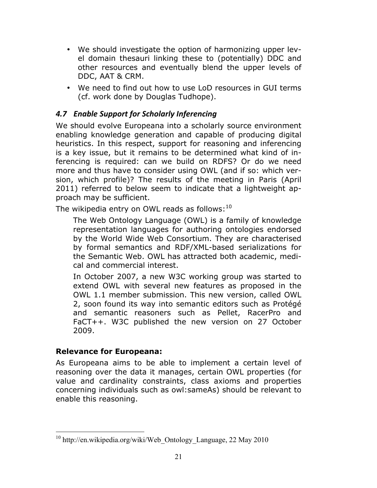- We should investigate the option of harmonizing upper level domain thesauri linking these to (potentially) DDC and other resources and eventually blend the upper levels of DDC, AAT & CRM.
- We need to find out how to use LoD resources in GUI terms (cf. work done by Douglas Tudhope).

## **4.7 Enable Support for Scholarly Inferencing**

We should evolve Europeana into a scholarly source environment enabling knowledge generation and capable of producing digital heuristics. In this respect, support for reasoning and inferencing is a key issue, but it remains to be determined what kind of inferencing is required: can we build on RDFS? Or do we need more and thus have to consider using OWL (and if so: which version, which profile)? The results of the meeting in Paris (April 2011) referred to below seem to indicate that a lightweight approach may be sufficient.

The wikipedia entry on OWL reads as follows:  $10$ 

The Web Ontology Language (OWL) is a family of knowledge representation languages for authoring ontologies endorsed by the World Wide Web Consortium. They are characterised by formal semantics and RDF/XML-based serializations for the Semantic Web. OWL has attracted both academic, medical and commercial interest.

In October 2007, a new W3C working group was started to extend OWL with several new features as proposed in the OWL 1.1 member submission. This new version, called OWL 2, soon found its way into semantic editors such as Protégé and semantic reasoners such as Pellet, RacerPro and FaCT++. W3C published the new version on 27 October 2009.

## **Relevance for Europeana:**

As Europeana aims to be able to implement a certain level of reasoning over the data it manages, certain OWL properties (for value and cardinality constraints, class axioms and properties concerning individuals such as owl:sameAs) should be relevant to enable this reasoning.

 $10$  http://en.wikipedia.org/wiki/Web Ontology Language, 22 May 2010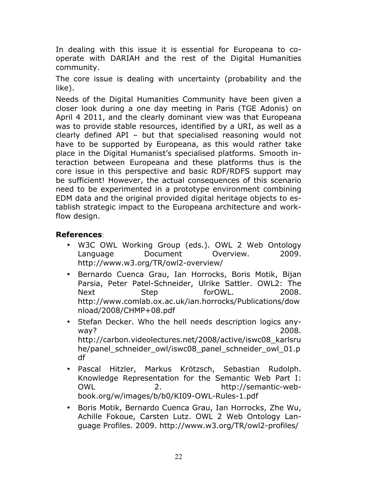In dealing with this issue it is essential for Europeana to cooperate with DARIAH and the rest of the Digital Humanities community.

The core issue is dealing with uncertainty (probability and the like).

Needs of the Digital Humanities Community have been given a closer look during a one day meeting in Paris (TGE Adonis) on April 4 2011, and the clearly dominant view was that Europeana was to provide stable resources, identified by a URI, as well as a clearly defined API – but that specialised reasoning would not have to be supported by Europeana, as this would rather take place in the Digital Humanist's specialised platforms. Smooth interaction between Europeana and these platforms thus is the core issue in this perspective and basic RDF/RDFS support may be sufficient! However, the actual consequences of this scenario need to be experimented in a prototype environment combining EDM data and the original provided digital heritage objects to establish strategic impact to the Europeana architecture and workflow design.

#### **References**:

- W3C OWL Working Group (eds.). OWL 2 Web Ontology Language Document Overview. 2009. http://www.w3.org/TR/owl2-overview/
- Bernardo Cuenca Grau, Ian Horrocks, Boris Motik, Bijan Parsia, Peter Patel-Schneider, Ulrike Sattler. OWL2: The Next Step forOWL. 2008. http://www.comlab.ox.ac.uk/ian.horrocks/Publications/dow nload/2008/CHMP+08.pdf
- Stefan Decker. Who the hell needs description logics anyway? 2008. http://carbon.videolectures.net/2008/active/iswc08\_karlsru he/panel schneider owl/iswc08 panel schneider owl 01.p df
- Pascal Hitzler, Markus Krötzsch, Sebastian Rudolph. Knowledge Representation for the Semantic Web Part I: OWL 2. http://semantic-webbook.org/w/images/b/b0/KI09-OWL-Rules-1.pdf
- Boris Motik, Bernardo Cuenca Grau, Ian Horrocks, Zhe Wu, Achille Fokoue, Carsten Lutz. OWL 2 Web Ontology Language Profiles. 2009. http://www.w3.org/TR/owl2-profiles/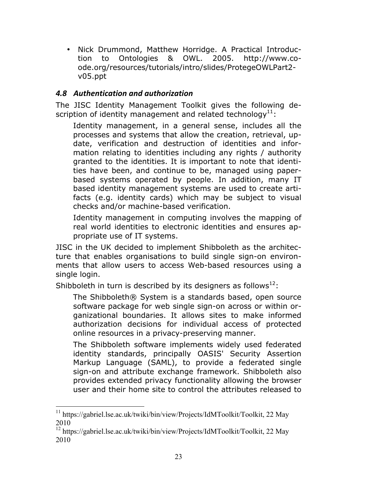• Nick Drummond, Matthew Horridge. A Practical Introduction to Ontologies & OWL. 2005. http://www.coode.org/resources/tutorials/intro/slides/ProtegeOWLPart2 v05.ppt

## *4.8 Authentication\*and\*authorization*

The JISC Identity Management Toolkit gives the following description of identity management and related technology<sup>11</sup>:

Identity management, in a general sense, includes all the processes and systems that allow the creation, retrieval, update, verification and destruction of identities and information relating to identities including any rights / authority granted to the identities. It is important to note that identities have been, and continue to be, managed using paperbased systems operated by people. In addition, many IT based identity management systems are used to create artifacts (e.g. identity cards) which may be subject to visual checks and/or machine-based verification.

Identity management in computing involves the mapping of real world identities to electronic identities and ensures appropriate use of IT systems.

JISC in the UK decided to implement Shibboleth as the architecture that enables organisations to build single sign-on environments that allow users to access Web-based resources using a single login.

Shibboleth in turn is described by its designers as follows<sup>12</sup>:

The Shibboleth® System is a standards based, open source software package for web single sign-on across or within organizational boundaries. It allows sites to make informed authorization decisions for individual access of protected online resources in a privacy-preserving manner.

The Shibboleth software implements widely used federated identity standards, principally OASIS' Security Assertion Markup Language (SAML), to provide a federated single sign-on and attribute exchange framework. Shibboleth also provides extended privacy functionality allowing the browser user and their home site to control the attributes released to

<sup>&</sup>lt;sup>11</sup> https://gabriel.lse.ac.uk/twiki/bin/view/Projects/IdMToolkit/Toolkit, 22 May 2010

<sup>12</sup> https://gabriel.lse.ac.uk/twiki/bin/view/Projects/IdMToolkit/Toolkit, 22 May 2010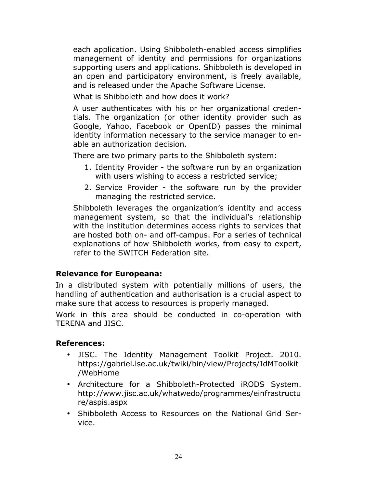each application. Using Shibboleth-enabled access simplifies management of identity and permissions for organizations supporting users and applications. Shibboleth is developed in an open and participatory environment, is freely available, and is released under the Apache Software License.

What is Shibboleth and how does it work?

A user authenticates with his or her organizational credentials. The organization (or other identity provider such as Google, Yahoo, Facebook or OpenID) passes the minimal identity information necessary to the service manager to enable an authorization decision.

There are two primary parts to the Shibboleth system:

- 1. Identity Provider the software run by an organization with users wishing to access a restricted service;
- 2. Service Provider the software run by the provider managing the restricted service.

Shibboleth leverages the organization's identity and access management system, so that the individual's relationship with the institution determines access rights to services that are hosted both on- and off-campus. For a series of technical explanations of how Shibboleth works, from easy to expert, refer to the SWITCH Federation site.

## **Relevance for Europeana:**

In a distributed system with potentially millions of users, the handling of authentication and authorisation is a crucial aspect to make sure that access to resources is properly managed.

Work in this area should be conducted in co-operation with TERENA and JISC.

## **References:**

- JISC. The Identity Management Toolkit Project. 2010. https://gabriel.lse.ac.uk/twiki/bin/view/Projects/IdMToolkit /WebHome
- Architecture for a Shibboleth-Protected iRODS System. http://www.jisc.ac.uk/whatwedo/programmes/einfrastructu re/aspis.aspx
- Shibboleth Access to Resources on the National Grid Service.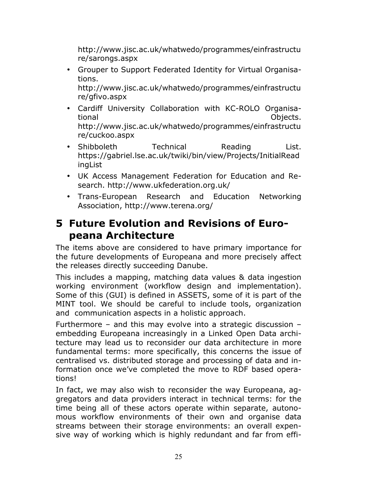http://www.jisc.ac.uk/whatwedo/programmes/einfrastructu re/sarongs.aspx

• Grouper to Support Federated Identity for Virtual Organisations.

http://www.jisc.ac.uk/whatwedo/programmes/einfrastructu re/gfivo.aspx

- Cardiff University Collaboration with KC-ROLO Organisational Objects. http://www.jisc.ac.uk/whatwedo/programmes/einfrastructu re/cuckoo.aspx
- Shibboleth Technical Reading List. https://gabriel.lse.ac.uk/twiki/bin/view/Projects/InitialRead ingList
- UK Access Management Federation for Education and Research. http://www.ukfederation.org.uk/
- Trans-European Research and Education Networking Association, http://www.terena.org/

## **5 Future Evolution and Revisions of Europeana Architecture**

The items above are considered to have primary importance for the future developments of Europeana and more precisely affect the releases directly succeeding Danube.

This includes a mapping, matching data values & data ingestion working environment (workflow design and implementation). Some of this (GUI) is defined in ASSETS, some of it is part of the MINT tool. We should be careful to include tools, organization and communication aspects in a holistic approach.

Furthermore – and this may evolve into a strategic discussion – embedding Europeana increasingly in a Linked Open Data architecture may lead us to reconsider our data architecture in more fundamental terms: more specifically, this concerns the issue of centralised vs. distributed storage and processing of data and information once we've completed the move to RDF based operations!

In fact, we may also wish to reconsider the way Europeana, aggregators and data providers interact in technical terms: for the time being all of these actors operate within separate, autonomous workflow environments of their own and organise data streams between their storage environments: an overall expensive way of working which is highly redundant and far from effi